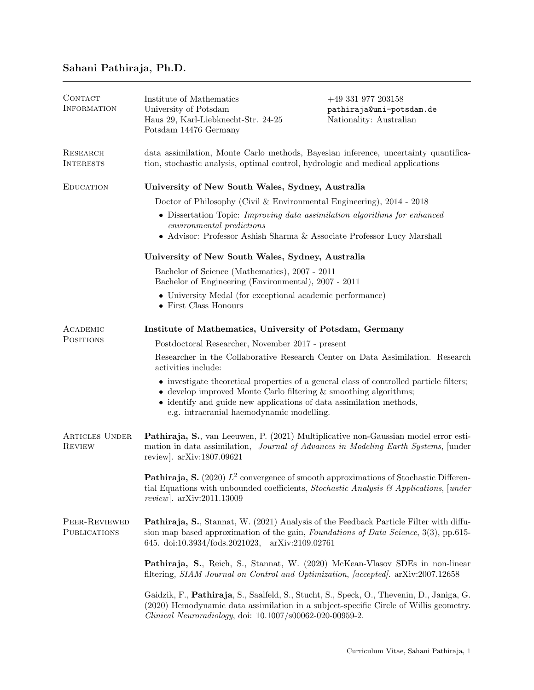# Sahani Pathiraja, Ph.D.

| CONTACT<br><b>INFORMATION</b>          | Institute of Mathematics<br>University of Potsdam<br>Haus 29, Karl-Liebknecht-Str. 24-25<br>Potsdam 14476 Germany                                                                                                                                                                          | $+49\,331\,977\,203158$<br>pathiraja@uni-potsdam.de<br>Nationality: Australian |  |  |  |
|----------------------------------------|--------------------------------------------------------------------------------------------------------------------------------------------------------------------------------------------------------------------------------------------------------------------------------------------|--------------------------------------------------------------------------------|--|--|--|
| <b>RESEARCH</b><br><b>INTERESTS</b>    | data assimilation, Monte Carlo methods, Bayesian inference, uncertainty quantifica-<br>tion, stochastic analysis, optimal control, hydrologic and medical applications                                                                                                                     |                                                                                |  |  |  |
| <b>EDUCATION</b>                       | University of New South Wales, Sydney, Australia                                                                                                                                                                                                                                           |                                                                                |  |  |  |
|                                        | Doctor of Philosophy (Civil & Environmental Engineering), $2014 - 2018$                                                                                                                                                                                                                    |                                                                                |  |  |  |
|                                        | • Dissertation Topic: Improving data assimilation algorithms for enhanced<br>environmental predictions<br>$\bullet$ Advisor: Professor Ashish Sharma & Associate Professor Lucy Marshall                                                                                                   |                                                                                |  |  |  |
|                                        | University of New South Wales, Sydney, Australia                                                                                                                                                                                                                                           |                                                                                |  |  |  |
|                                        | Bachelor of Science (Mathematics), 2007 - 2011<br>Bachelor of Engineering (Environmental), 2007 - 2011                                                                                                                                                                                     |                                                                                |  |  |  |
|                                        | • University Medal (for exceptional academic performance)<br>• First Class Honours                                                                                                                                                                                                         |                                                                                |  |  |  |
| ACADEMIC                               | Institute of Mathematics, University of Potsdam, Germany                                                                                                                                                                                                                                   |                                                                                |  |  |  |
| <b>POSITIONS</b>                       | Postdoctoral Researcher, November 2017 - present                                                                                                                                                                                                                                           |                                                                                |  |  |  |
|                                        | Researcher in the Collaborative Research Center on Data Assimilation. Research<br>activities include:                                                                                                                                                                                      |                                                                                |  |  |  |
|                                        | • investigate theoretical properties of a general class of controlled particle filters;<br>$\bullet$ develop improved Monte Carlo filtering $\&$ smoothing algorithms;<br>• identify and guide new applications of data assimilation methods,<br>e.g. intracranial haemodynamic modelling. |                                                                                |  |  |  |
| <b>ARTICLES UNDER</b><br><b>REVIEW</b> | Pathiraja, S., van Leeuwen, P. (2021) Multiplicative non-Gaussian model error esti-<br>mation in data assimilation, <i>Journal of Advances in Modeling Earth Systems</i> , [under<br>review. $arXiv:1807.09621$                                                                            |                                                                                |  |  |  |
|                                        | <b>Pathiraja, S.</b> (2020) $L^2$ convergence of smooth approximations of Stochastic Differen-<br>tial Equations with unbounded coefficients, Stochastic Analysis $\mathcal{B}$ Applications, [under<br>$review$ . $arXiv:2011.13009$                                                      |                                                                                |  |  |  |
| PEER-REVIEWED<br><b>PUBLICATIONS</b>   | <b>Pathiraja, S., Stannat, W. (2021) Analysis of the Feedback Particle Filter with diffu-</b><br>sion map based approximation of the gain, <i>Foundations of Data Science</i> , 3(3), pp.615-<br>645. doi:10.3934/fods.2021023, arXiv:2109.02761                                           |                                                                                |  |  |  |
|                                        | Pathiraja, S., Reich, S., Stannat, W. (2020) McKean-Vlasov SDEs in non-linear<br>filtering, SIAM Journal on Control and Optimization, [accepted]. arXiv:2007.12658                                                                                                                         |                                                                                |  |  |  |
|                                        | Gaidzik, F., Pathiraja, S., Saalfeld, S., Stucht, S., Speck, O., Thevenin, D., Janiga, G.<br>(2020) Hemodynamic data assimilation in a subject-specific Circle of Willis geometry.<br><i>Clinical Neuroradiology</i> , doi: 10.1007/s00062-020-00959-2.                                    |                                                                                |  |  |  |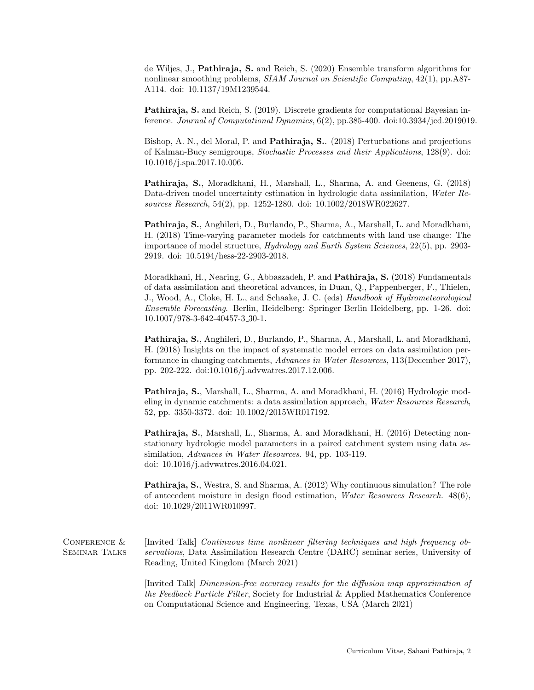de Wiljes, J., Pathiraja, S. and Reich, S. (2020) Ensemble transform algorithms for nonlinear smoothing problems, SIAM Journal on Scientific Computing, 42(1), pp.A87-A114. doi: 10.1137/19M1239544.

Pathiraja, S. and Reich, S. (2019). Discrete gradients for computational Bayesian inference. Journal of Computational Dynamics,  $6(2)$ , pp.385-400. doi:10.3934/jcd.2019019.

Bishop, A. N., del Moral, P. and Pathiraja, S.. (2018) Perturbations and projections of Kalman-Bucy semigroups, Stochastic Processes and their Applications, 128(9). doi: 10.1016/j.spa.2017.10.006.

Pathiraja, S., Moradkhani, H., Marshall, L., Sharma, A. and Geenens, G. (2018) Data-driven model uncertainty estimation in hydrologic data assimilation, Water Resources Research, 54(2), pp. 1252-1280. doi: 10.1002/2018WR022627.

Pathiraja, S., Anghileri, D., Burlando, P., Sharma, A., Marshall, L. and Moradkhani, H. (2018) Time-varying parameter models for catchments with land use change: The importance of model structure, Hydrology and Earth System Sciences, 22(5), pp. 2903- 2919. doi: 10.5194/hess-22-2903-2018.

Moradkhani, H., Nearing, G., Abbaszadeh, P. and Pathiraja, S. (2018) Fundamentals of data assimilation and theoretical advances, in Duan, Q., Pappenberger, F., Thielen, J., Wood, A., Cloke, H. L., and Schaake, J. C. (eds) Handbook of Hydrometeorological Ensemble Forecasting. Berlin, Heidelberg: Springer Berlin Heidelberg, pp. 1-26. doi: 10.1007/978-3-642-40457-3 30-1.

Pathiraja, S., Anghileri, D., Burlando, P., Sharma, A., Marshall, L. and Moradkhani, H. (2018) Insights on the impact of systematic model errors on data assimilation performance in changing catchments, Advances in Water Resources, 113(December 2017), pp. 202-222. doi:10.1016/j.advwatres.2017.12.006.

Pathiraja, S., Marshall, L., Sharma, A. and Moradkhani, H. (2016) Hydrologic modeling in dynamic catchments: a data assimilation approach, Water Resources Research, 52, pp. 3350-3372. doi: 10.1002/2015WR017192.

Pathiraja, S., Marshall, L., Sharma, A. and Moradkhani, H. (2016) Detecting nonstationary hydrologic model parameters in a paired catchment system using data assimilation, Advances in Water Resources. 94, pp. 103-119. doi: 10.1016/j.advwatres.2016.04.021.

Pathiraja, S., Westra, S. and Sharma, A. (2012) Why continuous simulation? The role of antecedent moisture in design flood estimation, Water Resources Research. 48(6), doi: 10.1029/2011WR010997.

CONFERENCE & Seminar Talks [Invited Talk] Continuous time nonlinear filtering techniques and high frequency observations, Data Assimilation Research Centre (DARC) seminar series, University of Reading, United Kingdom (March 2021)

> [Invited Talk] Dimension-free accuracy results for the diffusion map approximation of the Feedback Particle Filter, Society for Industrial & Applied Mathematics Conference on Computational Science and Engineering, Texas, USA (March 2021)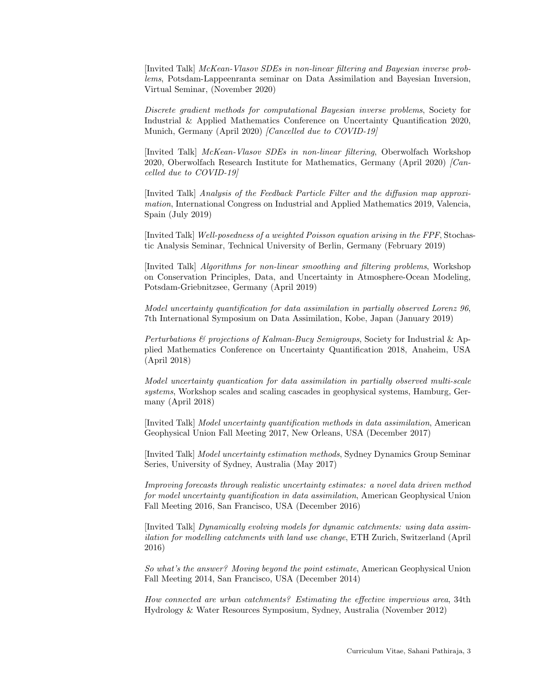[Invited Talk] McKean-Vlasov SDEs in non-linear filtering and Bayesian inverse problems, Potsdam-Lappeenranta seminar on Data Assimilation and Bayesian Inversion, Virtual Seminar, (November 2020)

Discrete gradient methods for computational Bayesian inverse problems, Society for Industrial & Applied Mathematics Conference on Uncertainty Quantification 2020, Munich, Germany (April 2020) *[Cancelled due to COVID-19]* 

[Invited Talk] McKean-Vlasov SDEs in non-linear filtering, Oberwolfach Workshop 2020, Oberwolfach Research Institute for Mathematics, Germany (April 2020) *[Can*celled due to COVID-19]

[Invited Talk] Analysis of the Feedback Particle Filter and the diffusion map approximation, International Congress on Industrial and Applied Mathematics 2019, Valencia, Spain (July 2019)

[Invited Talk] Well-posedness of a weighted Poisson equation arising in the FPF, Stochastic Analysis Seminar, Technical University of Berlin, Germany (February 2019)

[Invited Talk] Algorithms for non-linear smoothing and filtering problems, Workshop on Conservation Principles, Data, and Uncertainty in Atmosphere-Ocean Modeling, Potsdam-Griebnitzsee, Germany (April 2019)

Model uncertainty quantification for data assimilation in partially observed Lorenz 96, 7th International Symposium on Data Assimilation, Kobe, Japan (January 2019)

Perturbations & projections of Kalman-Bucy Semigroups, Society for Industrial & Applied Mathematics Conference on Uncertainty Quantification 2018, Anaheim, USA (April 2018)

Model uncertainty quantication for data assimilation in partially observed multi-scale systems, Workshop scales and scaling cascades in geophysical systems, Hamburg, Germany (April 2018)

[Invited Talk] Model uncertainty quantification methods in data assimilation, American Geophysical Union Fall Meeting 2017, New Orleans, USA (December 2017)

[Invited Talk] Model uncertainty estimation methods, Sydney Dynamics Group Seminar Series, University of Sydney, Australia (May 2017)

Improving forecasts through realistic uncertainty estimates: a novel data driven method for model uncertainty quantification in data assimilation, American Geophysical Union Fall Meeting 2016, San Francisco, USA (December 2016)

[Invited Talk] Dynamically evolving models for dynamic catchments: using data assimilation for modelling catchments with land use change, ETH Zurich, Switzerland (April 2016)

So what's the answer? Moving beyond the point estimate, American Geophysical Union Fall Meeting 2014, San Francisco, USA (December 2014)

How connected are urban catchments? Estimating the effective impervious area, 34th Hydrology & Water Resources Symposium, Sydney, Australia (November 2012)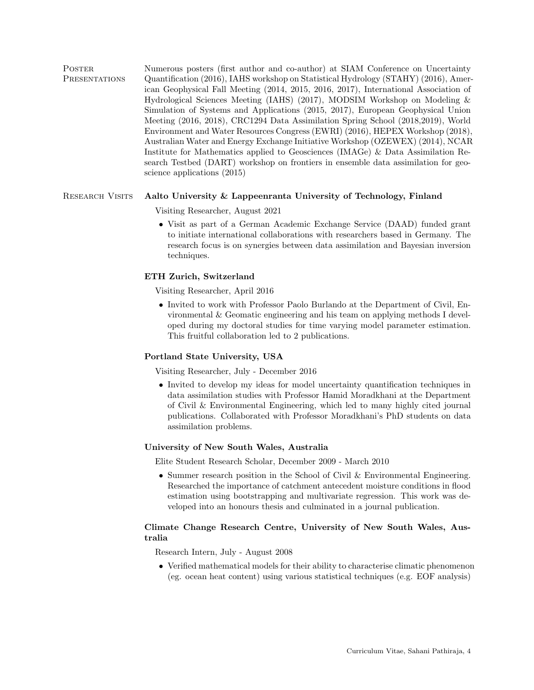POSTER **PRESENTATIONS** Numerous posters (first author and co-author) at SIAM Conference on Uncertainty Quantification (2016), IAHS workshop on Statistical Hydrology (STAHY) (2016), American Geophysical Fall Meeting (2014, 2015, 2016, 2017), International Association of Hydrological Sciences Meeting (IAHS) (2017), MODSIM Workshop on Modeling & Simulation of Systems and Applications (2015, 2017), European Geophysical Union Meeting (2016, 2018), CRC1294 Data Assimilation Spring School (2018,2019), World Environment and Water Resources Congress (EWRI) (2016), HEPEX Workshop (2018), Australian Water and Energy Exchange Initiative Workshop (OZEWEX) (2014), NCAR Institute for Mathematics applied to Geosciences (IMAGe) & Data Assimilation Research Testbed (DART) workshop on frontiers in ensemble data assimilation for geoscience applications (2015)

### RESEARCH VISITS Aalto University & Lappeenranta University of Technology, Finland

Visiting Researcher, August 2021

• Visit as part of a German Academic Exchange Service (DAAD) funded grant to initiate international collaborations with researchers based in Germany. The research focus is on synergies between data assimilation and Bayesian inversion techniques.

#### ETH Zurich, Switzerland

Visiting Researcher, April 2016

• Invited to work with Professor Paolo Burlando at the Department of Civil, Environmental & Geomatic engineering and his team on applying methods I developed during my doctoral studies for time varying model parameter estimation. This fruitful collaboration led to 2 publications.

#### Portland State University, USA

Visiting Researcher, July - December 2016

• Invited to develop my ideas for model uncertainty quantification techniques in data assimilation studies with Professor Hamid Moradkhani at the Department of Civil & Environmental Engineering, which led to many highly cited journal publications. Collaborated with Professor Moradkhani's PhD students on data assimilation problems.

#### University of New South Wales, Australia

Elite Student Research Scholar, December 2009 - March 2010

• Summer research position in the School of Civil & Environmental Engineering. Researched the importance of catchment antecedent moisture conditions in flood estimation using bootstrapping and multivariate regression. This work was developed into an honours thesis and culminated in a journal publication.

## Climate Change Research Centre, University of New South Wales, Australia

Research Intern, July - August 2008

• Verified mathematical models for their ability to characterise climatic phenomenon (eg. ocean heat content) using various statistical techniques (e.g. EOF analysis)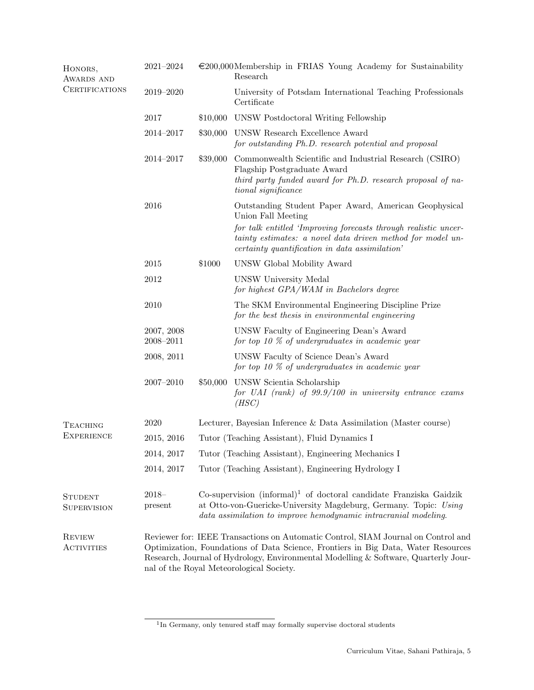| HONORS,<br>AWARDS AND<br><b>CERTIFICATIONS</b> | $2021 - 2024$               |                                                                                                                                                                                                                                                                                                           | $\epsilon$ 200,000 Membership in FRIAS Young Academy for Sustainability<br>Research                                                                                                                                                                            |  |
|------------------------------------------------|-----------------------------|-----------------------------------------------------------------------------------------------------------------------------------------------------------------------------------------------------------------------------------------------------------------------------------------------------------|----------------------------------------------------------------------------------------------------------------------------------------------------------------------------------------------------------------------------------------------------------------|--|
|                                                | 2019-2020                   |                                                                                                                                                                                                                                                                                                           | University of Potsdam International Teaching Professionals<br>Certificate                                                                                                                                                                                      |  |
|                                                | 2017                        | \$10,000                                                                                                                                                                                                                                                                                                  | UNSW Postdoctoral Writing Fellowship                                                                                                                                                                                                                           |  |
|                                                | $2014 - 2017$               | \$30,000                                                                                                                                                                                                                                                                                                  | UNSW Research Excellence Award<br>for outstanding Ph.D. research potential and proposal                                                                                                                                                                        |  |
|                                                | $2014 - 2017$               | \$39,000                                                                                                                                                                                                                                                                                                  | Commonwealth Scientific and Industrial Research (CSIRO)<br>Flagship Postgraduate Award<br>third party funded award for Ph.D. research proposal of na-<br>tional significance                                                                                   |  |
|                                                | 2016                        |                                                                                                                                                                                                                                                                                                           | Outstanding Student Paper Award, American Geophysical<br>Union Fall Meeting<br>for talk entitled 'Improving forecasts through realistic uncer-<br>tainty estimates: a novel data driven method for model un-<br>certainty quantification in data assimilation' |  |
|                                                | 2015                        | \$1000                                                                                                                                                                                                                                                                                                    | UNSW Global Mobility Award                                                                                                                                                                                                                                     |  |
|                                                | 2012                        |                                                                                                                                                                                                                                                                                                           | UNSW University Medal<br>for highest GPA/WAM in Bachelors degree                                                                                                                                                                                               |  |
|                                                | 2010                        |                                                                                                                                                                                                                                                                                                           | The SKM Environmental Engineering Discipline Prize<br>for the best thesis in environmental engineering                                                                                                                                                         |  |
|                                                | 2007, 2008<br>$2008 - 2011$ |                                                                                                                                                                                                                                                                                                           | UNSW Faculty of Engineering Dean's Award<br>for top 10 $\%$ of undergraduates in academic year                                                                                                                                                                 |  |
|                                                | 2008, 2011                  |                                                                                                                                                                                                                                                                                                           | UNSW Faculty of Science Dean's Award<br>for top 10 $\%$ of undergraduates in academic year                                                                                                                                                                     |  |
|                                                | $2007 - 2010$               | \$50,000                                                                                                                                                                                                                                                                                                  | UNSW Scientia Scholarship<br>for UAI (rank) of $99.9/100$ in university entrance exams<br>(HSC)                                                                                                                                                                |  |
| TEACHING<br><b>EXPERIENCE</b>                  | 2020                        |                                                                                                                                                                                                                                                                                                           | Lecturer, Bayesian Inference & Data Assimilation (Master course)                                                                                                                                                                                               |  |
|                                                | 2015, 2016                  | Tutor (Teaching Assistant), Fluid Dynamics I                                                                                                                                                                                                                                                              |                                                                                                                                                                                                                                                                |  |
|                                                | 2014, 2017                  |                                                                                                                                                                                                                                                                                                           | Tutor (Teaching Assistant), Engineering Mechanics I                                                                                                                                                                                                            |  |
|                                                | 2014, 2017                  | Tutor (Teaching Assistant), Engineering Hydrology I                                                                                                                                                                                                                                                       |                                                                                                                                                                                                                                                                |  |
| <b>STUDENT</b><br><b>SUPERVISION</b>           | $2018 -$<br>present         | Co-supervision $(informal)^1$ of doctoral candidate Franziska Gaidzik<br>at Otto-von-Guericke-University Magdeburg, Germany. Topic: Using<br>data assimilation to improve hemodynamic intracranial modeling.                                                                                              |                                                                                                                                                                                                                                                                |  |
| <b>REVIEW</b><br>ACTIVITIES                    |                             | Reviewer for: IEEE Transactions on Automatic Control, SIAM Journal on Control and<br>Optimization, Foundations of Data Science, Frontiers in Big Data, Water Resources<br>Research, Journal of Hydrology, Environmental Modelling & Software, Quarterly Jour-<br>nal of the Royal Meteorological Society. |                                                                                                                                                                                                                                                                |  |

<sup>&</sup>lt;sup>1</sup>In Germany, only tenured staff may formally supervise doctoral students